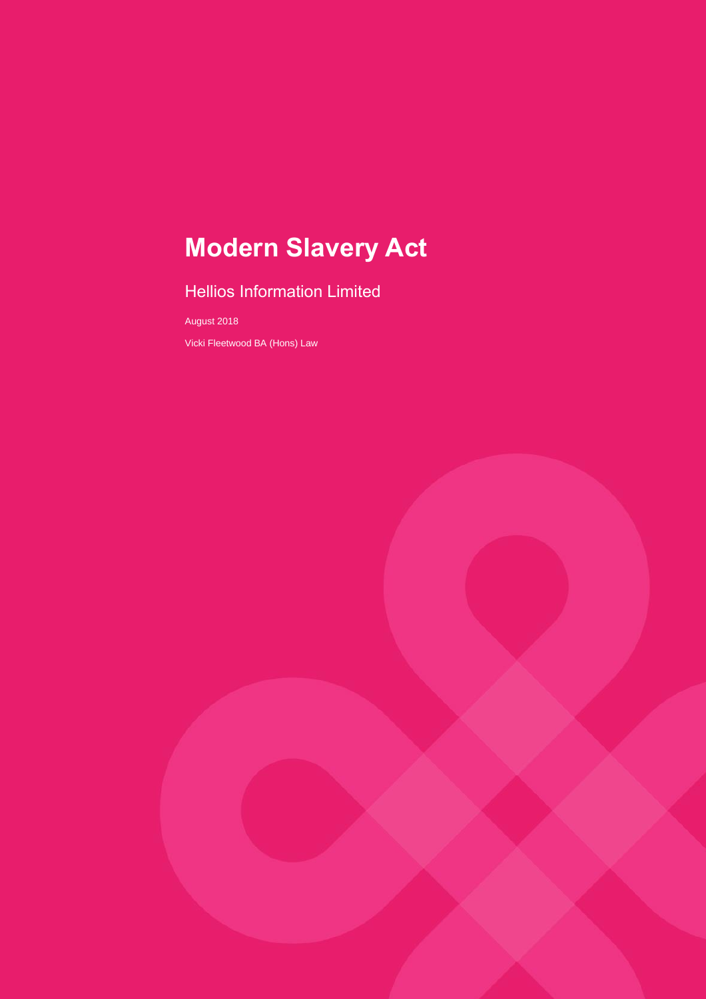# **Modern Slavery Act**

# Hellios Information Limited

August 2018

Vicki Fleetwood BA (Hons) Law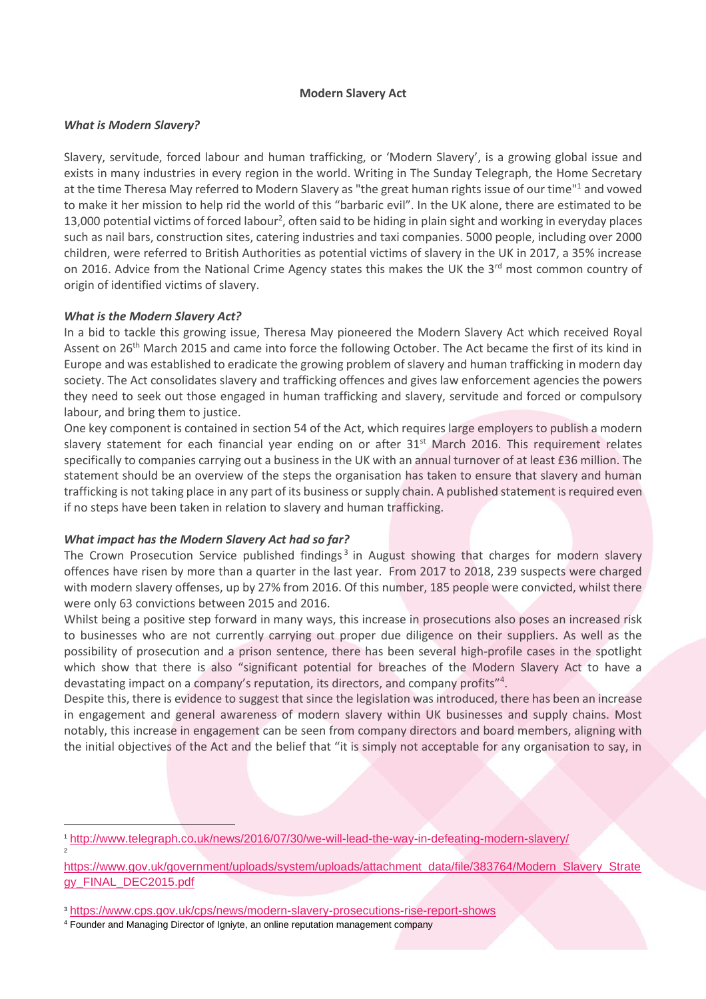#### **Modern Slavery Act**

### *What is Modern Slavery?*

Slavery, servitude, forced labour and human trafficking, or 'Modern Slavery', is a growing global issue and exists in many industries in every region in the world. Writing in The Sunday Telegraph, the Home Secretary at the time Theresa May referred to Modern Slavery as "the great human rights issue of our time"<sup>1</sup> and vowed to make it her mission to help rid the world of this "barbaric evil". In the UK alone, there are estimated to be 13,000 potential victims of forced labour<sup>2</sup>, often said to be hiding in plain sight and working in everyday places such as nail bars, construction sites, catering industries and taxi companies. 5000 people, including over 2000 children, were referred to British Authorities as potential victims of slavery in the UK in 2017, a 35% increase on 2016. Advice from the National Crime Agency states this makes the UK the 3<sup>rd</sup> most common country of origin of identified victims of slavery.

#### *What is the Modern Slavery Act?*

2

In a bid to tackle this growing issue, Theresa May pioneered the Modern Slavery Act which received Royal Assent on 26<sup>th</sup> March 2015 and came into force the following October. The Act became the first of its kind in Europe and was established to eradicate the growing problem of slavery and human trafficking in modern day society. The Act consolidates slavery and trafficking offences and gives law enforcement agencies the powers they need to seek out those engaged in human trafficking and slavery, servitude and forced or compulsory labour, and bring them to justice.

One key component is contained in section 54 of the Act, which requires large employers to publish a modern slavery statement for each financial year ending on or after 31<sup>st</sup> March 2016. This requirement relates specifically to companies carrying out a business in the UK with an annual turnover of at least £36 million. The statement should be an overview of the steps the organisation has taken to ensure that slavery and human trafficking is not taking place in any part of its business or supply chain. A published statement is required even if no steps have been taken in relation to slavery and human trafficking.

## *What impact has the Modern Slavery Act had so far?*

The Crown Prosecution Service published findings<sup>3</sup> in August showing that charges for modern slavery offences have risen by more than a quarter in the last year. From 2017 to 2018, 239 suspects were charged with modern slavery offenses, up by 27% from 2016. Of this number, 185 people were convicted, whilst there were only 63 convictions between 2015 and 2016.

Whilst being a positive step forward in many ways, this increase in prosecutions also poses an increased risk to businesses who are not currently carrying out proper due diligence on their suppliers. As well as the possibility of prosecution and a prison sentence, there has been several high-profile cases in the spotlight which show that there is also "significant potential for breaches of the Modern Slavery Act to have a devastating impact on a company's reputation, its directors, and company profits"<sup>4</sup> .

Despite this, there is evidence to suggest that since the legislation was introduced, there has been an increase in engagement and general awareness of modern slavery within UK businesses and supply chains. Most notably, this increase in engagement can be seen from company directors and board members, aligning with the initial objectives of the Act and the belief that "it is simply not acceptable for any organisation to say, in

<sup>1</sup> <http://www.telegraph.co.uk/news/2016/07/30/we-will-lead-the-way-in-defeating-modern-slavery/>

[https://www.gov.uk/government/uploads/system/uploads/attachment\\_data/file/383764/Modern\\_Slavery\\_Strate](https://www.gov.uk/government/uploads/system/uploads/attachment_data/file/383764/Modern_Slavery_Strategy_FINAL_DEC2015.pdf) [gy\\_FINAL\\_DEC2015.pdf](https://www.gov.uk/government/uploads/system/uploads/attachment_data/file/383764/Modern_Slavery_Strategy_FINAL_DEC2015.pdf)

<sup>3</sup> <https://www.cps.gov.uk/cps/news/modern-slavery-prosecutions-rise-report-shows>

<sup>4</sup> Founder and Managing Director of Igniyte, an online reputation management company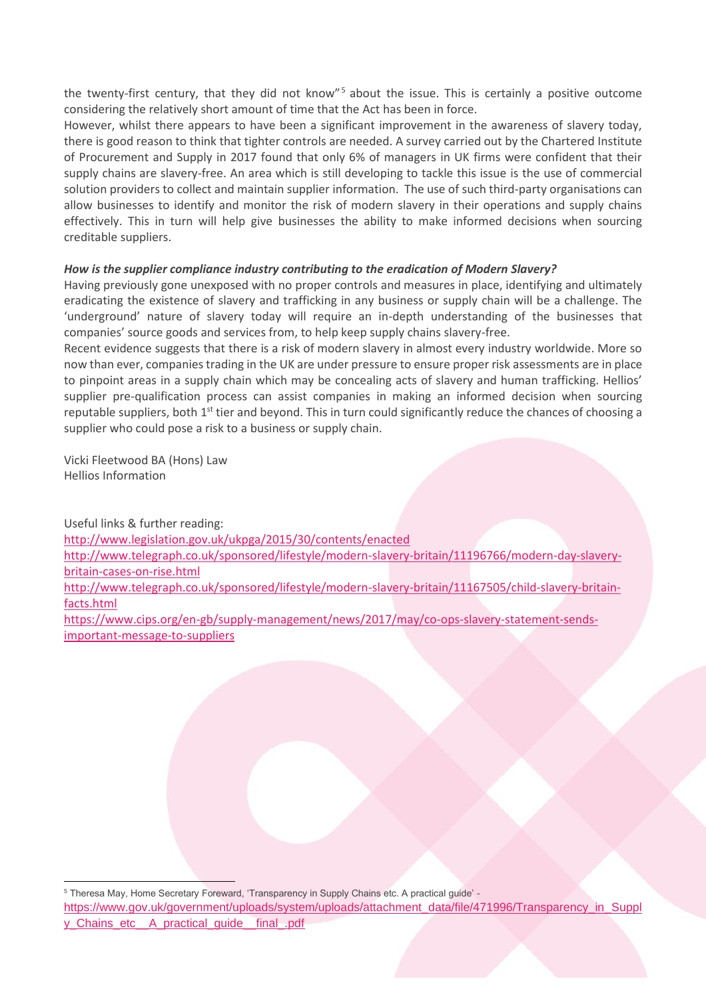the twenty-first century, that they did not know"<sup>5</sup> about the issue. This is certainly a positive outcome considering the relatively short amount of time that the Act has been in force.

However, whilst there appears to have been a significant improvement in the awareness of slavery today, there is good reason to think that tighter controls are needed. A survey carried out by the Chartered Institute of Procurement and Supply in 2017 found that only 6% of managers in UK firms were confident that their supply chains are slavery-free. An area which is still developing to tackle this issue is the use of commercial solution providers to collect and maintain supplier information. The use of such third-party organisations can allow businesses to identify and monitor the risk of modern slavery in their operations and supply chains effectively. This in turn will help give businesses the ability to make informed decisions when sourcing creditable suppliers.

### *How is the supplier compliance industry contributing to the eradication of Modern Slavery?*

Having previously gone unexposed with no proper controls and measures in place, identifying and ultimately eradicating the existence of slavery and trafficking in any business or supply chain will be a challenge. The 'underground' nature of slavery today will require an in-depth understanding of the businesses that companies' source goods and services from, to help keep supply chains slavery-free.

Recent evidence suggests that there is a risk of modern slavery in almost every industry worldwide. More so now than ever, companies trading in the UK are under pressure to ensure proper risk assessments are in place to pinpoint areas in a supply chain which may be concealing acts of slavery and human trafficking. Hellios' supplier pre-qualification process can assist companies in making an informed decision when sourcing reputable suppliers, both  $1<sup>st</sup>$  tier and beyond. This in turn could significantly reduce the chances of choosing a supplier who could pose a risk to a business or supply chain.

Vicki Fleetwood BA (Hons) Law Hellios Information

Useful links & further reading:

<http://www.legislation.gov.uk/ukpga/2015/30/contents/enacted>

[http://www.telegraph.co.uk/sponsored/lifestyle/modern-slavery-britain/11196766/modern-day-slavery](http://www.telegraph.co.uk/sponsored/lifestyle/modern-slavery-britain/11196766/modern-day-slavery-britain-cases-on-rise.html)[britain-cases-on-rise.html](http://www.telegraph.co.uk/sponsored/lifestyle/modern-slavery-britain/11196766/modern-day-slavery-britain-cases-on-rise.html)

[http://www.telegraph.co.uk/sponsored/lifestyle/modern-slavery-britain/11167505/child-slavery-britain](http://www.telegraph.co.uk/sponsored/lifestyle/modern-slavery-britain/11167505/child-slavery-britain-facts.html)[facts.html](http://www.telegraph.co.uk/sponsored/lifestyle/modern-slavery-britain/11167505/child-slavery-britain-facts.html)

[https://www.cips.org/en-gb/supply-management/news/2017/may/co-ops-slavery-statement-sends](https://www.cips.org/en-gb/supply-management/news/2017/may/co-ops-slavery-statement-sends-important-message-to-suppliers)[important-message-to-suppliers](https://www.cips.org/en-gb/supply-management/news/2017/may/co-ops-slavery-statement-sends-important-message-to-suppliers)

<sup>5</sup> Theresa May, Home Secretary Foreward, 'Transparency in Supply Chains etc. A practical guide' -

[https://www.gov.uk/government/uploads/system/uploads/attachment\\_data/file/471996/Transparency\\_in\\_Suppl](https://www.gov.uk/government/uploads/system/uploads/attachment_data/file/471996/Transparency_in_Supply_Chains_etc__A_practical_guide__final_.pdf) [y\\_Chains\\_etc\\_\\_A\\_practical\\_guide\\_\\_final\\_.pdf](https://www.gov.uk/government/uploads/system/uploads/attachment_data/file/471996/Transparency_in_Supply_Chains_etc__A_practical_guide__final_.pdf)